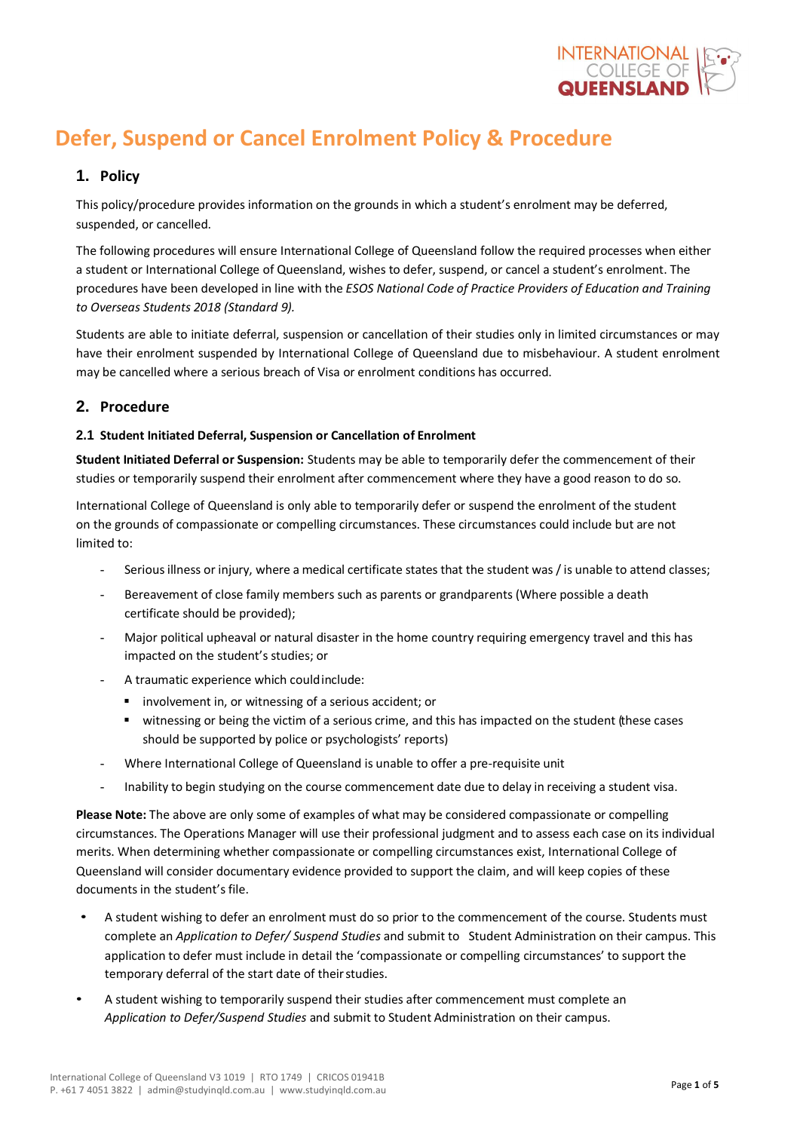

# **Defer, Suspend or Cancel Enrolment Policy & Procedure**

## **1. Policy**

This policy/procedure provides information on the grounds in which a student's enrolment may be deferred, suspended, or cancelled.

The following procedures will ensure International College of Queensland follow the required processes when either a student or International College of Queensland, wishes to defer, suspend, or cancel a student's enrolment. The procedures have been developed in line with the *ESOS National Code of Practice Providers of Education and Training to Overseas Students 2018 (Standard 9).*

Students are able to initiate deferral, suspension or cancellation of their studies only in limited circumstances or may have their enrolment suspended by International College of Queensland due to misbehaviour. A student enrolment may be cancelled where a serious breach of Visa or enrolment conditions has occurred.

## **2. Procedure**

### **2.1 Student Initiated Deferral, Suspension or Cancellation of Enrolment**

**Student Initiated Deferral or Suspension:** Students may be able to temporarily defer the commencement of their studies or temporarily suspend their enrolment after commencement where they have a good reason to do so.

International College of Queensland is only able to temporarily defer or suspend the enrolment of the student on the grounds of compassionate or compelling circumstances. These circumstances could include but are not limited to:

- Serious illness or injury, where a medical certificate states that the student was / is unable to attend classes;
- Bereavement of close family members such as parents or grandparents (Where possible a death certificate should be provided);
- Major political upheaval or natural disaster in the home country requiring emergency travel and this has impacted on the student's studies; or
- A traumatic experience which could include:
	- involvement in, or witnessing of a serious accident; or
	- witnessing or being the victim of a serious crime, and this has impacted on the student (these cases should be supported by police or psychologists' reports)
- Where International College of Queensland is unable to offer a pre-requisite unit
- Inability to begin studying on the course commencement date due to delay in receiving a student visa.

**Please Note:** The above are only some of examples of what may be considered compassionate or compelling circumstances. The Operations Manager will use their professional judgment and to assess each case on its individual merits. When determining whether compassionate or compelling circumstances exist, International College of Queensland will consider documentary evidence provided to support the claim, and will keep copies of these documents in the student's file.

- A student wishing to defer an enrolment must do so prior to the commencement of the course. Students must complete an *Application to Defer/ Suspend Studies* and submit to Student Administration on their campus. This application to defer must include in detail the 'compassionate or compelling circumstances' to support the temporary deferral of the start date of their studies.
- A student wishing to temporarily suspend their studies after commencement must complete an *Application to Defer/Suspend Studies* and submit to Student Administration on their campus.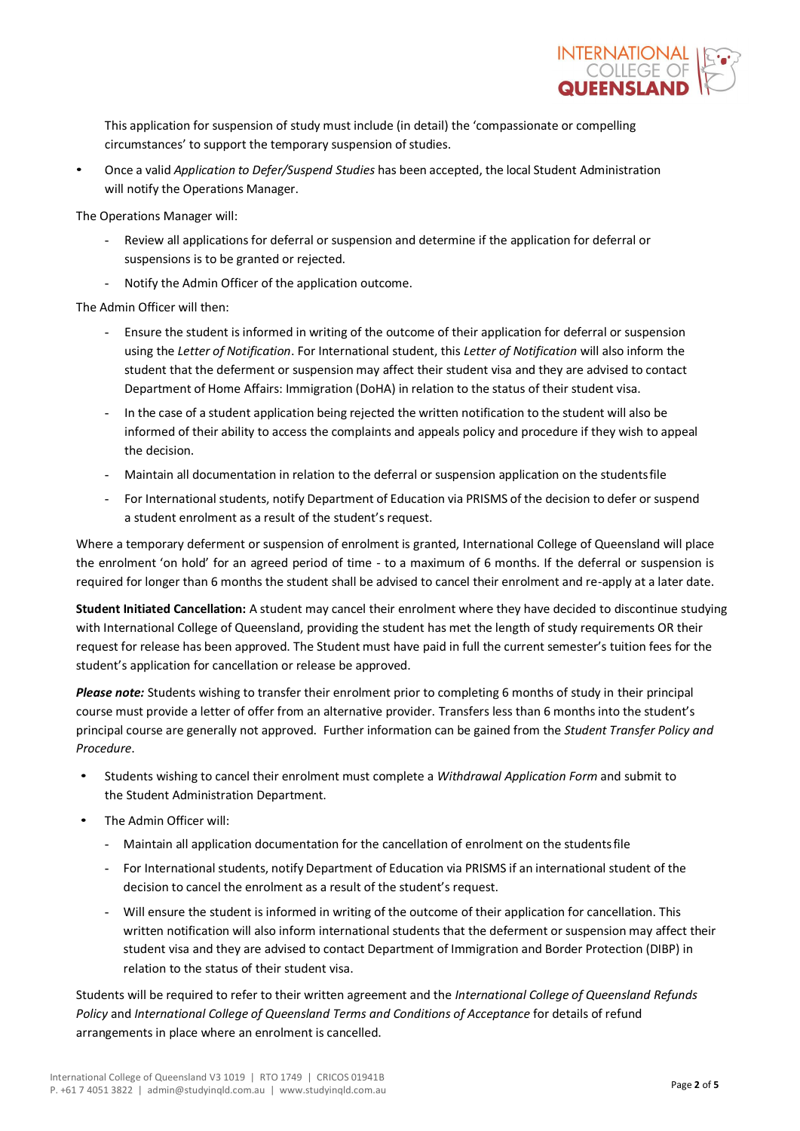

This application for suspension of study must include (in detail) the 'compassionate or compelling circumstances' to support the temporary suspension of studies.

• Once a valid *Application to Defer/Suspend Studies* has been accepted, the local Student Administration will notify the Operations Manager.

The Operations Manager will:

- Review all applications for deferral or suspension and determine if the application for deferral or suspensions is to be granted or rejected.
- Notify the Admin Officer of the application outcome.

The Admin Officer will then:

- Ensure the student is informed in writing of the outcome of their application for deferral or suspension using the *Letter of Notification*. For International student, this *Letter of Notification* will also inform the student that the deferment or suspension may affect their student visa and they are advised to contact Department of Home Affairs: Immigration (DoHA) in relation to the status of their student visa.
- In the case of a student application being rejected the written notification to the student will also be informed of their ability to access the complaints and appeals policy and procedure if they wish to appeal the decision.
- Maintain all documentation in relation to the deferral or suspension application on the studentsfile
- For International students, notify Department of Education via PRISMS of the decision to defer or suspend a student enrolment as a result of the student's request.

Where a temporary deferment or suspension of enrolment is granted, International College of Queensland will place the enrolment 'on hold' for an agreed period of time - to a maximum of 6 months. If the deferral or suspension is required for longer than 6 months the student shall be advised to cancel their enrolment and re-apply at a later date.

**Student Initiated Cancellation:** A student may cancel their enrolment where they have decided to discontinue studying with International College of Queensland, providing the student has met the length of study requirements OR their request for release has been approved. The Student must have paid in full the current semester's tuition fees for the student's application for cancellation or release be approved.

*Please note:* Students wishing to transfer their enrolment prior to completing 6 months of study in their principal course must provide a letter of offer from an alternative provider. Transfers less than 6 months into the student's principal course are generally not approved. Further information can be gained from the *Student Transfer Policy and Procedure*.

- Students wishing to cancel their enrolment must complete a *Withdrawal Application Form* and submit to the Student Administration Department.
- The Admin Officer will:
	- Maintain all application documentation for the cancellation of enrolment on the studentsfile
	- For International students, notify Department of Education via PRISMS if an international student of the decision to cancel the enrolment as a result of the student's request.
	- Will ensure the student is informed in writing of the outcome of their application for cancellation. This written notification will also inform international students that the deferment or suspension may affect their student visa and they are advised to contact Department of Immigration and Border Protection (DIBP) in relation to the status of their student visa.

Students will be required to refer to their written agreement and the *International College of Queensland Refunds Policy* and *International College of Queensland Terms and Conditions of Acceptance* for details of refund arrangements in place where an enrolment is cancelled.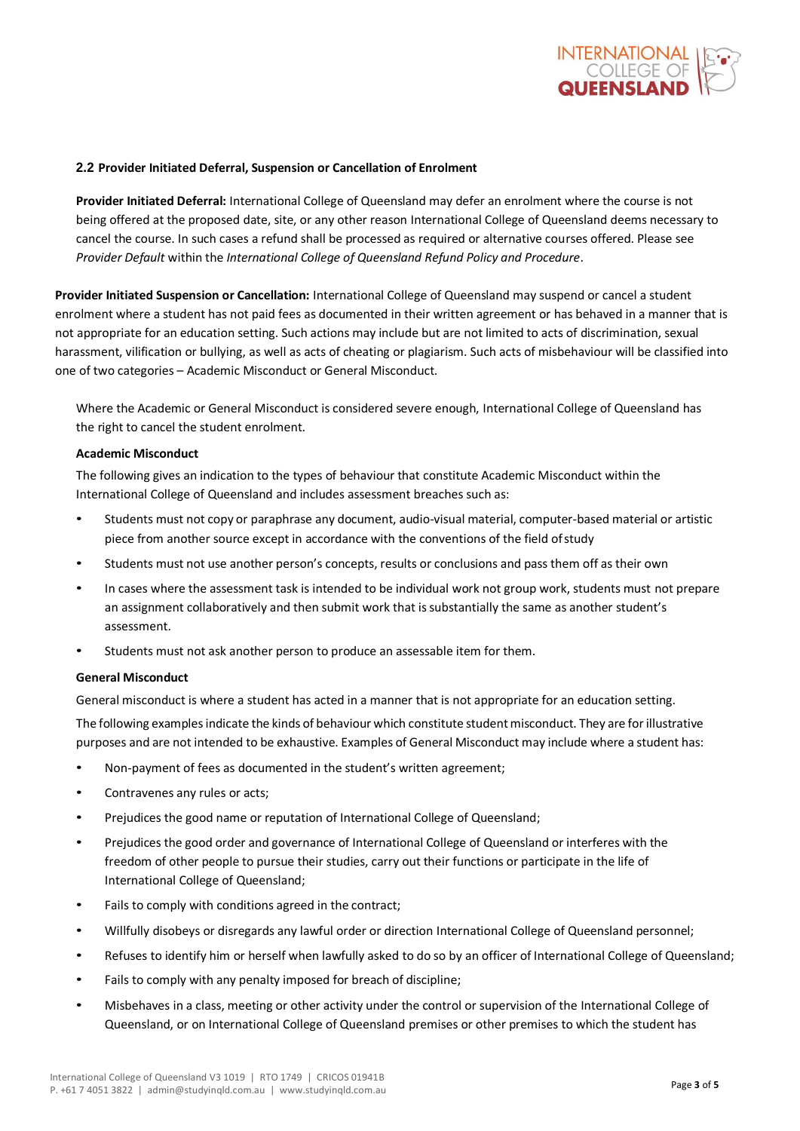

#### **2.2 Provider Initiated Deferral, Suspension or Cancellation of Enrolment**

**Provider Initiated Deferral:** International College of Queensland may defer an enrolment where the course is not being offered at the proposed date, site, or any other reason International College of Queensland deems necessary to cancel the course. In such cases a refund shall be processed as required or alternative courses offered. Please see *Provider Default* within the *International College of Queensland Refund Policy and Procedure*.

**Provider Initiated Suspension or Cancellation:** International College of Queensland may suspend or cancel a student enrolment where a student has not paid fees as documented in their written agreement or has behaved in a manner that is not appropriate for an education setting. Such actions may include but are not limited to acts of discrimination, sexual harassment, vilification or bullying, as well as acts of cheating or plagiarism. Such acts of misbehaviour will be classified into one of two categories – Academic Misconduct or General Misconduct.

Where the Academic or General Misconduct is considered severe enough, International College of Queensland has the right to cancel the student enrolment.

#### **Academic Misconduct**

The following gives an indication to the types of behaviour that constitute Academic Misconduct within the International College of Queensland and includes assessment breaches such as:

- Students must not copy or paraphrase any document, audio-visual material, computer-based material or artistic piece from another source except in accordance with the conventions of the field ofstudy
- Students must not use another person's concepts, results or conclusions and pass them off as their own
- In cases where the assessment task is intended to be individual work not group work, students must not prepare an assignment collaboratively and then submit work that is substantially the same as another student's assessment.
- Students must not ask another person to produce an assessable item for them.

#### **General Misconduct**

General misconduct is where a student has acted in a manner that is not appropriate for an education setting.

The following examples indicate the kinds of behaviour which constitute student misconduct. They are for illustrative purposes and are not intended to be exhaustive. Examples of General Misconduct may include where a student has:

- Non-payment of fees as documented in the student's written agreement;
- Contravenes any rules or acts;
- Prejudices the good name or reputation of International College of Queensland;
- Prejudices the good order and governance of International College of Queensland or interferes with the freedom of other people to pursue their studies, carry out their functions or participate in the life of International College of Queensland;
- Fails to comply with conditions agreed in the contract;
- Willfully disobeys or disregards any lawful order or direction International College of Queensland personnel;
- Refuses to identify him or herself when lawfully asked to do so by an officer of International College of Queensland;
- Fails to comply with any penalty imposed for breach of discipline;
- Misbehaves in a class, meeting or other activity under the control or supervision of the International College of Queensland, or on International College of Queensland premises or other premises to which the student has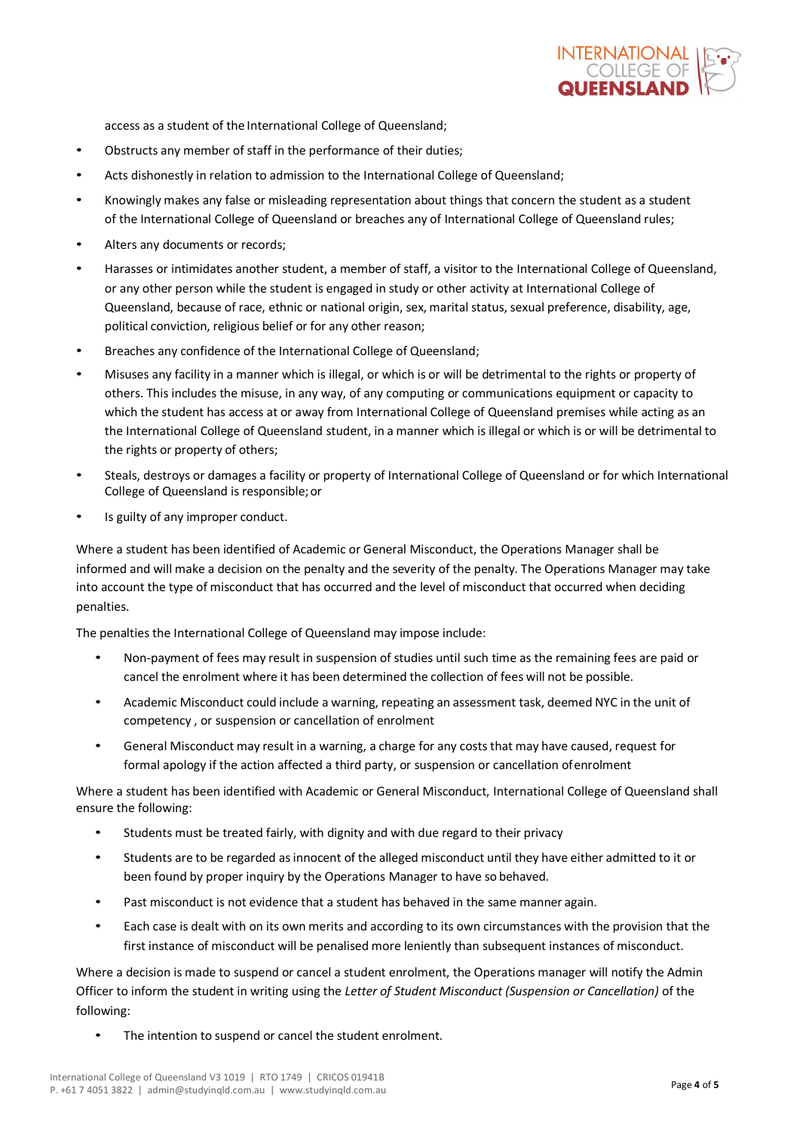

access as a student of the International College of Queensland;

- Obstructs any member of staff in the performance of their duties;
- Acts dishonestly in relation to admission to the International College of Queensland;
- Knowingly makes any false or misleading representation about things that concern the student as a student of the International College of Queensland or breaches any of International College of Queensland rules;
- Alters any documents or records;
- Harasses or intimidates another student, a member of staff, a visitor to the International College of Queensland, or any other person while the student is engaged in study or other activity at International College of Queensland, because of race, ethnic or national origin, sex, marital status, sexual preference, disability, age, political conviction, religious belief or for any other reason;
- Breaches any confidence of the International College of Queensland;
- Misuses any facility in a manner which is illegal, or which is or will be detrimental to the rights or property of others. This includes the misuse, in any way, of any computing or communications equipment or capacity to which the student has access at or away from International College of Queensland premises while acting as an the International College of Queensland student, in a manner which is illegal or which is or will be detrimental to the rights or property of others;
- Steals, destroys or damages a facility or property of International College of Queensland or for which International College of Queensland is responsible;or
- Is guilty of any improper conduct.

Where a student has been identified of Academic or General Misconduct, the Operations Manager shall be informed and will make a decision on the penalty and the severity of the penalty. The Operations Manager may take into account the type of misconduct that has occurred and the level of misconduct that occurred when deciding penalties.

The penalties the International College of Queensland may impose include:

- Non-payment of fees may result in suspension of studies until such time as the remaining fees are paid or cancel the enrolment where it has been determined the collection of fees will not be possible.
- Academic Misconduct could include a warning, repeating an assessment task, deemed NYC in the unit of competency , or suspension or cancellation of enrolment
- General Misconduct may result in a warning, a charge for any costs that may have caused, request for formal apology if the action affected a third party, or suspension or cancellation ofenrolment

Where a student has been identified with Academic or General Misconduct, International College of Queensland shall ensure the following:

- Students must be treated fairly, with dignity and with due regard to their privacy
- Students are to be regarded asinnocent of the alleged misconduct until they have either admitted to it or been found by proper inquiry by the Operations Manager to have so behaved.
- Past misconduct is not evidence that a student has behaved in the same manner again.
- Each case is dealt with on its own merits and according to its own circumstances with the provision that the first instance of misconduct will be penalised more leniently than subsequent instances of misconduct.

Where a decision is made to suspend or cancel a student enrolment, the Operations manager will notify the Admin Officer to inform the student in writing using the *Letter of Student Misconduct (Suspension or Cancellation)* of the following:

• The intention to suspend or cancel the student enrolment.